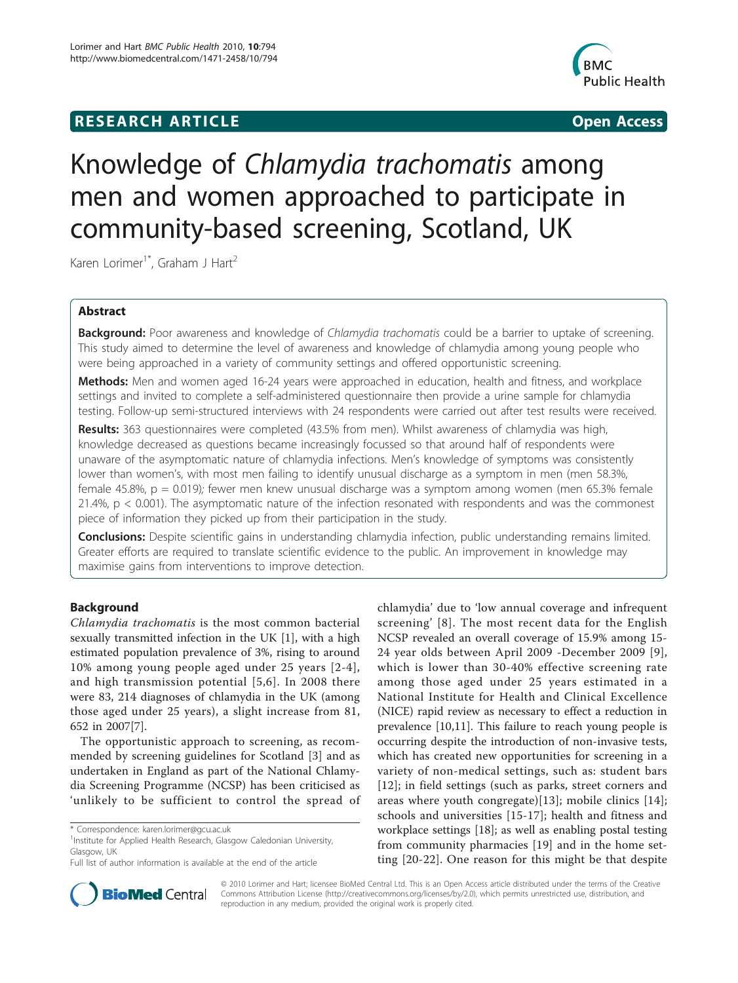# **RESEARCH ARTICLE Example 2018 12:30 THE Open Access**



# Knowledge of Chlamydia trachomatis among men and women approached to participate in community-based screening, Scotland, UK

Karen Lorimer<sup>1\*</sup>, Graham J Hart<sup>2</sup>

# Abstract

**Background:** Poor awareness and knowledge of Chlamydia trachomatis could be a barrier to uptake of screening. This study aimed to determine the level of awareness and knowledge of chlamydia among young people who were being approached in a variety of community settings and offered opportunistic screening.

Methods: Men and women aged 16-24 years were approached in education, health and fitness, and workplace settings and invited to complete a self-administered questionnaire then provide a urine sample for chlamydia testing. Follow-up semi-structured interviews with 24 respondents were carried out after test results were received.

Results: 363 questionnaires were completed (43.5% from men). Whilst awareness of chlamydia was high, knowledge decreased as questions became increasingly focussed so that around half of respondents were unaware of the asymptomatic nature of chlamydia infections. Men's knowledge of symptoms was consistently lower than women's, with most men failing to identify unusual discharge as a symptom in men (men 58.3%, female 45.8%, p = 0.019); fewer men knew unusual discharge was a symptom among women (men 65.3% female 21.4%, p < 0.001). The asymptomatic nature of the infection resonated with respondents and was the commonest piece of information they picked up from their participation in the study.

Conclusions: Despite scientific gains in understanding chlamydia infection, public understanding remains limited. Greater efforts are required to translate scientific evidence to the public. An improvement in knowledge may maximise gains from interventions to improve detection.

# Background

Chlamydia trachomatis is the most common bacterial sexually transmitted infection in the UK [\[1\]](#page-7-0), with a high estimated population prevalence of 3%, rising to around 10% among young people aged under 25 years [\[2-4\]](#page-7-0), and high transmission potential [[5](#page-7-0),[6](#page-7-0)]. In 2008 there were 83, 214 diagnoses of chlamydia in the UK (among those aged under 25 years), a slight increase from 81, 652 in 2007[\[7](#page-7-0)].

The opportunistic approach to screening, as recommended by screening guidelines for Scotland [\[3](#page-7-0)] and as undertaken in England as part of the National Chlamydia Screening Programme (NCSP) has been criticised as 'unlikely to be sufficient to control the spread of

<sup>1</sup>Institute for Applied Health Research, Glasgow Caledonian University, Glasgow, UK

chlamydia' due to 'low annual coverage and infrequent screening' [[8\]](#page-7-0). The most recent data for the English NCSP revealed an overall coverage of 15.9% among 15- 24 year olds between April 2009 -December 2009 [[9](#page-7-0)], which is lower than 30-40% effective screening rate among those aged under 25 years estimated in a National Institute for Health and Clinical Excellence (NICE) rapid review as necessary to effect a reduction in prevalence [[10,11\]](#page-7-0). This failure to reach young people is occurring despite the introduction of non-invasive tests, which has created new opportunities for screening in a variety of non-medical settings, such as: student bars [[12](#page-7-0)]; in field settings (such as parks, street corners and areas where youth congregate)[\[13](#page-7-0)]; mobile clinics [[14](#page-7-0)]; schools and universities [[15](#page-7-0)-[17\]](#page-7-0); health and fitness and workplace settings [\[18](#page-7-0)]; as well as enabling postal testing from community pharmacies [[19](#page-7-0)] and in the home setting [[20-22\]](#page-7-0). One reason for this might be that despite



© 2010 Lorimer and Hart; licensee BioMed Central Ltd. This is an Open Access article distributed under the terms of the Creative Commons Attribution License [\(http://creativecommons.org/licenses/by/2.0](http://creativecommons.org/licenses/by/2.0)), which permits unrestricted use, distribution, and reproduction in any medium, provided the original work is properly cited.

<sup>\*</sup> Correspondence: [karen.lorimer@gcu.ac.uk](mailto:karen.lorimer@gcu.ac.uk)

Full list of author information is available at the end of the article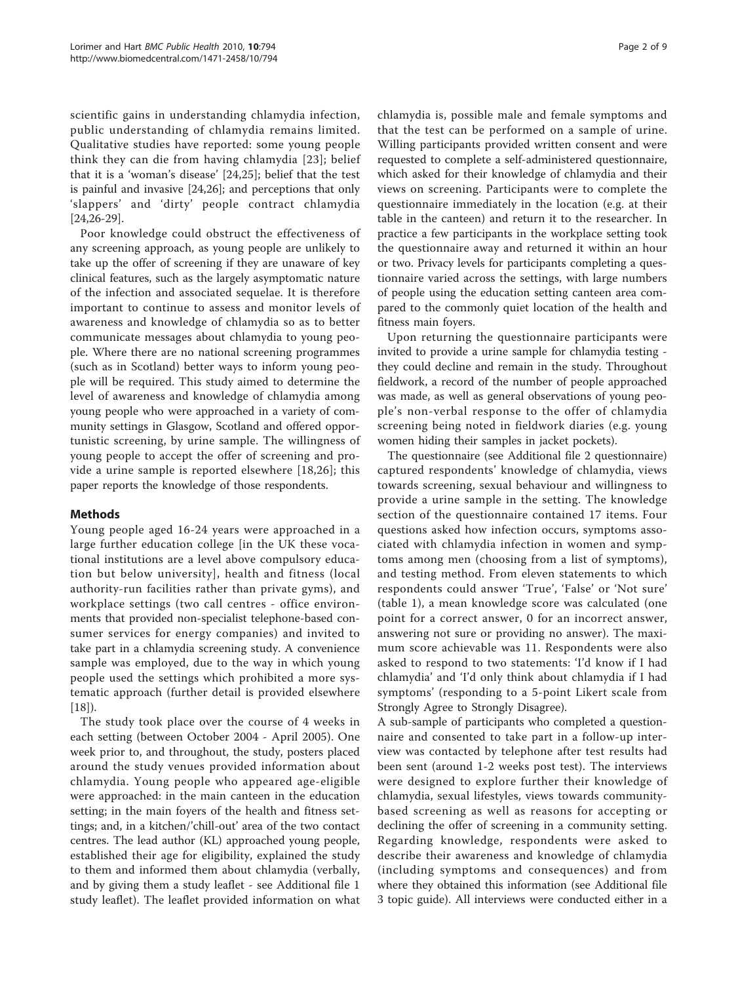scientific gains in understanding chlamydia infection, public understanding of chlamydia remains limited. Qualitative studies have reported: some young people think they can die from having chlamydia [[23\]](#page-8-0); belief that it is a 'woman's disease' [[24,25\]](#page-8-0); belief that the test is painful and invasive [[24](#page-8-0),[26](#page-8-0)]; and perceptions that only 'slappers' and 'dirty' people contract chlamydia [[24,26-29\]](#page-8-0).

Poor knowledge could obstruct the effectiveness of any screening approach, as young people are unlikely to take up the offer of screening if they are unaware of key clinical features, such as the largely asymptomatic nature of the infection and associated sequelae. It is therefore important to continue to assess and monitor levels of awareness and knowledge of chlamydia so as to better communicate messages about chlamydia to young people. Where there are no national screening programmes (such as in Scotland) better ways to inform young people will be required. This study aimed to determine the level of awareness and knowledge of chlamydia among young people who were approached in a variety of community settings in Glasgow, Scotland and offered opportunistic screening, by urine sample. The willingness of young people to accept the offer of screening and provide a urine sample is reported elsewhere [[18](#page-7-0),[26\]](#page-8-0); this paper reports the knowledge of those respondents.

# Methods

Young people aged 16-24 years were approached in a large further education college [in the UK these vocational institutions are a level above compulsory education but below university], health and fitness (local authority-run facilities rather than private gyms), and workplace settings (two call centres - office environments that provided non-specialist telephone-based consumer services for energy companies) and invited to take part in a chlamydia screening study. A convenience sample was employed, due to the way in which young people used the settings which prohibited a more systematic approach (further detail is provided elsewhere  $[18]$  $[18]$ .

The study took place over the course of 4 weeks in each setting (between October 2004 - April 2005). One week prior to, and throughout, the study, posters placed around the study venues provided information about chlamydia. Young people who appeared age-eligible were approached: in the main canteen in the education setting; in the main foyers of the health and fitness settings; and, in a kitchen/'chill-out' area of the two contact centres. The lead author (KL) approached young people, established their age for eligibility, explained the study to them and informed them about chlamydia (verbally, and by giving them a study leaflet - see Additional file [1](#page-7-0) study leaflet). The leaflet provided information on what

chlamydia is, possible male and female symptoms and that the test can be performed on a sample of urine. Willing participants provided written consent and were requested to complete a self-administered questionnaire, which asked for their knowledge of chlamydia and their views on screening. Participants were to complete the questionnaire immediately in the location (e.g. at their table in the canteen) and return it to the researcher. In practice a few participants in the workplace setting took the questionnaire away and returned it within an hour or two. Privacy levels for participants completing a questionnaire varied across the settings, with large numbers of people using the education setting canteen area compared to the commonly quiet location of the health and fitness main foyers.

Upon returning the questionnaire participants were invited to provide a urine sample for chlamydia testing they could decline and remain in the study. Throughout fieldwork, a record of the number of people approached was made, as well as general observations of young people's non-verbal response to the offer of chlamydia screening being noted in fieldwork diaries (e.g. young women hiding their samples in jacket pockets).

The questionnaire (see Additional file [2](#page-7-0) questionnaire) captured respondents' knowledge of chlamydia, views towards screening, sexual behaviour and willingness to provide a urine sample in the setting. The knowledge section of the questionnaire contained 17 items. Four questions asked how infection occurs, symptoms associated with chlamydia infection in women and symptoms among men (choosing from a list of symptoms), and testing method. From eleven statements to which respondents could answer 'True', 'False' or 'Not sure' (table [1](#page-2-0)), a mean knowledge score was calculated (one point for a correct answer, 0 for an incorrect answer, answering not sure or providing no answer). The maximum score achievable was 11. Respondents were also asked to respond to two statements: 'I'd know if I had chlamydia' and 'I'd only think about chlamydia if I had symptoms' (responding to a 5-point Likert scale from Strongly Agree to Strongly Disagree).

A sub-sample of participants who completed a questionnaire and consented to take part in a follow-up interview was contacted by telephone after test results had been sent (around 1-2 weeks post test). The interviews were designed to explore further their knowledge of chlamydia, sexual lifestyles, views towards communitybased screening as well as reasons for accepting or declining the offer of screening in a community setting. Regarding knowledge, respondents were asked to describe their awareness and knowledge of chlamydia (including symptoms and consequences) and from where they obtained this information (see Additional file [3](#page-7-0) topic guide). All interviews were conducted either in a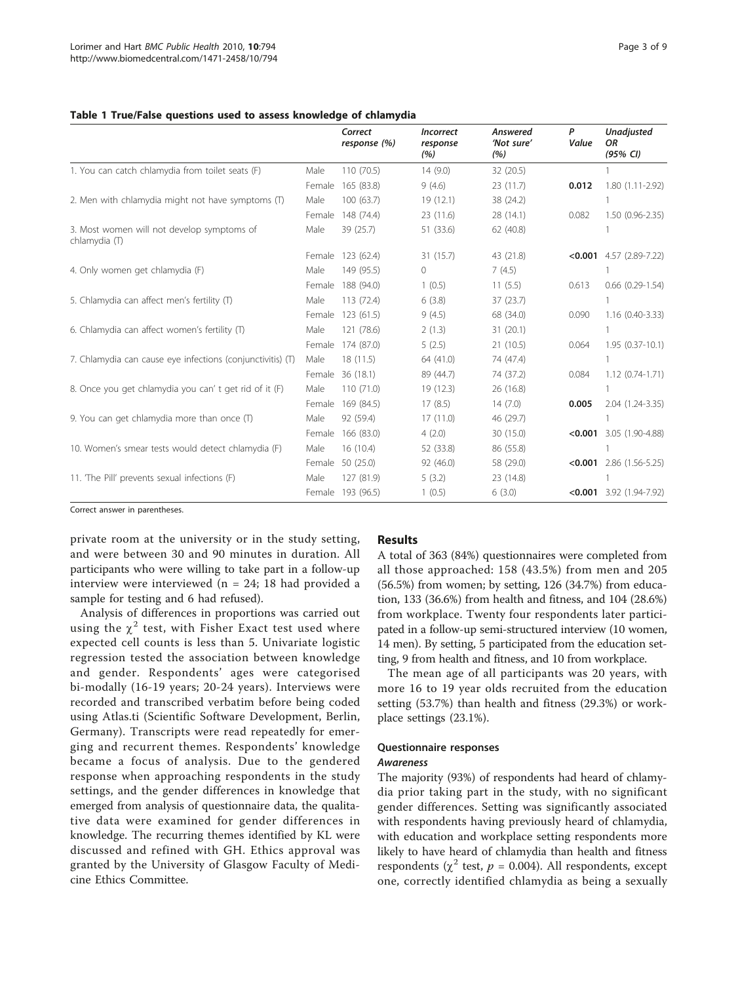<span id="page-2-0"></span>

|  |  |  |  |  |  |  |  |  | Table 1 True/False questions used to assess knowledge of chlamydia |  |
|--|--|--|--|--|--|--|--|--|--------------------------------------------------------------------|--|
|--|--|--|--|--|--|--|--|--|--------------------------------------------------------------------|--|

|                                                             |        | Correct<br>response (%) | <b>Incorrect</b><br>response<br>(%) | Answered<br>'Not sure'<br>(%) | P<br>Value | <b>Unadjusted</b><br><b>OR</b><br>(95% CI) |
|-------------------------------------------------------------|--------|-------------------------|-------------------------------------|-------------------------------|------------|--------------------------------------------|
| 1. You can catch chlamydia from toilet seats (F)            | Male   | 110(70.5)               | 14(9.0)                             | 32 (20.5)                     |            |                                            |
|                                                             | Female | 165 (83.8)              | 9(4.6)                              | 23(11.7)                      | 0.012      | $1.80(1.11-2.92)$                          |
| 2. Men with chlamydia might not have symptoms (T)           | Male   | 100(63.7)               | 19(12.1)                            | 38 (24.2)                     |            |                                            |
|                                                             | Female | 148 (74.4)              | 23 (11.6)                           | 28 (14.1)                     | 0.082      | 1.50 (0.96-2.35)                           |
| 3. Most women will not develop symptoms of<br>chlamydia (T) | Male   | 39 (25.7)               | 51 (33.6)                           | 62 (40.8)                     |            |                                            |
|                                                             | Female | 123 (62.4)              | 31 (15.7)                           | 43 (21.8)                     |            | $<0.001$ 4.57 (2.89-7.22)                  |
| 4. Only women get chlamydia (F)                             | Male   | 149 (95.5)              | $\Omega$                            | 7(4.5)                        |            |                                            |
|                                                             | Female | 188 (94.0)              | 1(0.5)                              | 11(5.5)                       | 0.613      | $0.66$ $(0.29 - 1.54)$                     |
| 5. Chlamydia can affect men's fertility (T)                 | Male   | 113 (72.4)              | 6(3.8)                              | 37 (23.7)                     |            |                                            |
|                                                             | Female | 123(61.5)               | 9(4.5)                              | 68 (34.0)                     | 0.090      | $1.16(0.40-3.33)$                          |
| 6. Chlamydia can affect women's fertility (T)               | Male   | 121 (78.6)              | 2(1.3)                              | 31(20.1)                      |            |                                            |
|                                                             |        | Female 174 (87.0)       | 5(2.5)                              | 21(10.5)                      | 0.064      | $1.95(0.37-10.1)$                          |
| 7. Chlamydia can cause eye infections (conjunctivitis) (T)  | Male   | 18 (11.5)               | 64 (41.0)                           | 74 (47.4)                     |            |                                            |
|                                                             |        | Female 36 (18.1)        | 89 (44.7)                           | 74 (37.2)                     | 0.084      | $1.12(0.74-1.71)$                          |
| 8. Once you get chlamydia you can't get rid of it (F)       | Male   | 110(71.0)               | 19 (12.3)                           | 26 (16.8)                     |            |                                            |
|                                                             |        | Female 169 (84.5)       | 17(8.5)                             | 14(7.0)                       | 0.005      | 2.04 (1.24-3.35)                           |
| 9. You can get chlamydia more than once (T)                 | Male   | 92 (59.4)               | 17(11.0)                            | 46 (29.7)                     |            |                                            |
|                                                             | Female | 166 (83.0)              | 4(2.0)                              | 30 (15.0)                     |            | $\langle 0.001 \rangle$ 3.05 (1.90-4.88)   |
| 10. Women's smear tests would detect chlamydia (F)          | Male   | 16 (10.4)               | 52 (33.8)                           | 86 (55.8)                     |            |                                            |
|                                                             |        | Female 50 (25.0)        | 92 (46.0)                           | 58 (29.0)                     |            | $\langle 0.001 \rangle$ 2.86 (1.56-5.25)   |
| 11. The Pill' prevents sexual infections (F)                | Male   | 127 (81.9)              | 5(3.2)                              | 23 (14.8)                     |            |                                            |
|                                                             |        | Female 193 (96.5)       | 1(0.5)                              | 6(3.0)                        |            | $<0.001$ 3.92 (1.94-7.92)                  |

Correct answer in parentheses.

private room at the university or in the study setting, and were between 30 and 90 minutes in duration. All participants who were willing to take part in a follow-up interview were interviewed (n = 24; 18 had provided a sample for testing and 6 had refused).

Analysis of differences in proportions was carried out using the  $\chi^2$  test, with Fisher Exact test used where expected cell counts is less than 5. Univariate logistic regression tested the association between knowledge and gender. Respondents' ages were categorised bi-modally (16-19 years; 20-24 years). Interviews were recorded and transcribed verbatim before being coded using Atlas.ti (Scientific Software Development, Berlin, Germany). Transcripts were read repeatedly for emerging and recurrent themes. Respondents' knowledge became a focus of analysis. Due to the gendered response when approaching respondents in the study settings, and the gender differences in knowledge that emerged from analysis of questionnaire data, the qualitative data were examined for gender differences in knowledge. The recurring themes identified by KL were discussed and refined with GH. Ethics approval was granted by the University of Glasgow Faculty of Medicine Ethics Committee.

#### Results

A total of 363 (84%) questionnaires were completed from all those approached: 158 (43.5%) from men and 205 (56.5%) from women; by setting, 126 (34.7%) from education, 133 (36.6%) from health and fitness, and 104 (28.6%) from workplace. Twenty four respondents later participated in a follow-up semi-structured interview (10 women, 14 men). By setting, 5 participated from the education setting, 9 from health and fitness, and 10 from workplace.

The mean age of all participants was 20 years, with more 16 to 19 year olds recruited from the education setting (53.7%) than health and fitness (29.3%) or workplace settings (23.1%).

# Questionnaire responses

#### Awareness

The majority (93%) of respondents had heard of chlamydia prior taking part in the study, with no significant gender differences. Setting was significantly associated with respondents having previously heard of chlamydia, with education and workplace setting respondents more likely to have heard of chlamydia than health and fitness respondents ( $\chi^2$  test,  $p = 0.004$ ). All respondents, except one, correctly identified chlamydia as being a sexually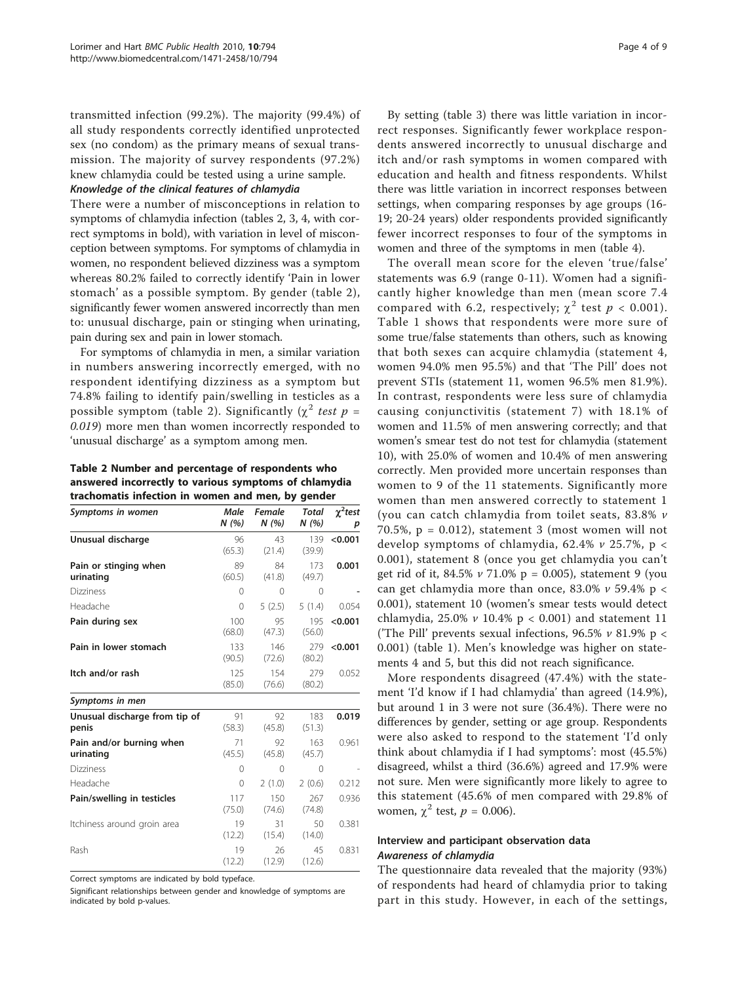transmitted infection (99.2%). The majority (99.4%) of all study respondents correctly identified unprotected sex (no condom) as the primary means of sexual transmission. The majority of survey respondents (97.2%) knew chlamydia could be tested using a urine sample.

#### Knowledge of the clinical features of chlamydia

There were a number of misconceptions in relation to symptoms of chlamydia infection (tables 2, [3](#page-4-0), [4](#page-4-0), with correct symptoms in bold), with variation in level of misconception between symptoms. For symptoms of chlamydia in women, no respondent believed dizziness was a symptom whereas 80.2% failed to correctly identify 'Pain in lower stomach' as a possible symptom. By gender (table 2), significantly fewer women answered incorrectly than men to: unusual discharge, pain or stinging when urinating, pain during sex and pain in lower stomach.

For symptoms of chlamydia in men, a similar variation in numbers answering incorrectly emerged, with no respondent identifying dizziness as a symptom but 74.8% failing to identify pain/swelling in testicles as a possible symptom (table 2). Significantly ( $\chi^2$  test p = 0.019) more men than women incorrectly responded to 'unusual discharge' as a symptom among men.

Table 2 Number and percentage of respondents who answered incorrectly to various symptoms of chlamydia trachomatis infection in women and men, by gender

| Symptoms in women                      | Male<br>N(%)  | <b>Female</b><br>N(%) | Total<br>N(%) | $\chi^2$ test<br>р |
|----------------------------------------|---------------|-----------------------|---------------|--------------------|
| Unusual discharge                      | 96<br>(65.3)  | 43<br>(21.4)          | 139<br>(39.9) | < 0.001            |
| Pain or stinging when<br>urinating     | 89<br>(60.5)  | 84<br>(41.8)          | 173<br>(49.7) | 0.001              |
| <b>Dizziness</b>                       | $\Omega$      | $\Omega$              | $\Omega$      |                    |
| Headache                               | $\Omega$      | 5(2.5)                | 5(1.4)        | 0.054              |
| Pain during sex                        | 100<br>(68.0) | 95<br>(47.3)          | 195<br>(56.0) | < 0.001            |
| Pain in lower stomach                  | 133<br>(90.5) | 146<br>(72.6)         | 279<br>(80.2) | < 0.001            |
| Itch and/or rash                       | 125<br>(85.0) | 154<br>(76.6)         | 279<br>(80.2) | 0.052              |
| Symptoms in men                        |               |                       |               |                    |
| Unusual discharge from tip of<br>penis | 91<br>(58.3)  | 92<br>(45.8)          | 183<br>(51.3) | 0.019              |
| Pain and/or burning when<br>urinating  | 71<br>(45.5)  | 92<br>(45.8)          | 163<br>(45.7) | 0.961              |
| <b>Dizziness</b>                       | $\Omega$      | $\Omega$              | $\Omega$      |                    |
| Headache                               | $\Omega$      | 2(1.0)                | 2(0.6)        | 0.212              |
| Pain/swelling in testicles             | 117<br>(75.0) | 150<br>(74.6)         | 267<br>(74.8) | 0.936              |
| Itchiness around groin area            | 19<br>(12.2)  | 31<br>(15.4)          | 50<br>(14.0)  | 0.381              |
| Rash                                   | 19<br>(12.2)  | 26<br>(12.9)          | 45<br>(12.6)  | 0.831              |

Correct symptoms are indicated by bold typeface.

Significant relationships between gender and knowledge of symptoms are indicated by bold p-values.

By setting (table [3](#page-4-0)) there was little variation in incorrect responses. Significantly fewer workplace respondents answered incorrectly to unusual discharge and itch and/or rash symptoms in women compared with education and health and fitness respondents. Whilst there was little variation in incorrect responses between settings, when comparing responses by age groups (16- 19; 20-24 years) older respondents provided significantly fewer incorrect responses to four of the symptoms in women and three of the symptoms in men (table [4](#page-4-0)).

The overall mean score for the eleven 'true/false' statements was 6.9 (range 0-11). Women had a significantly higher knowledge than men (mean score 7.4 compared with 6.2, respectively;  $\chi^2$  test  $p < 0.001$ ). Table [1](#page-2-0) shows that respondents were more sure of some true/false statements than others, such as knowing that both sexes can acquire chlamydia (statement 4, women 94.0% men 95.5%) and that 'The Pill' does not prevent STIs (statement 11, women 96.5% men 81.9%). In contrast, respondents were less sure of chlamydia causing conjunctivitis (statement 7) with 18.1% of women and 11.5% of men answering correctly; and that women's smear test do not test for chlamydia (statement 10), with 25.0% of women and 10.4% of men answering correctly. Men provided more uncertain responses than women to 9 of the 11 statements. Significantly more women than men answered correctly to statement 1 (you can catch chlamydia from toilet seats, 83.8% v 70.5%,  $p = 0.012$ ), statement 3 (most women will not develop symptoms of chlamydia, 62.4%  $\nu$  25.7%, p < 0.001), statement 8 (once you get chlamydia you can't get rid of it, 84.5%  $v$  71.0% p = 0.005), statement 9 (you can get chlamydia more than once, 83.0%  $\nu$  59.4% p < 0.001), statement 10 (women's smear tests would detect chlamydia,  $25.0\% \nu 10.4\% \text{ p} < 0.001$ ) and statement 11 ('The Pill' prevents sexual infections,  $96.5\%$   $\nu$  81.9% p < 0.001) (table [1](#page-2-0)). Men's knowledge was higher on statements 4 and 5, but this did not reach significance.

More respondents disagreed (47.4%) with the statement 'I'd know if I had chlamydia' than agreed (14.9%), but around 1 in 3 were not sure (36.4%). There were no differences by gender, setting or age group. Respondents were also asked to respond to the statement 'I'd only think about chlamydia if I had symptoms': most (45.5%) disagreed, whilst a third (36.6%) agreed and 17.9% were not sure. Men were significantly more likely to agree to this statement (45.6% of men compared with 29.8% of women,  $\chi^2$  test,  $p = 0.006$ ).

# Interview and participant observation data Awareness of chlamydia

The questionnaire data revealed that the majority (93%) of respondents had heard of chlamydia prior to taking part in this study. However, in each of the settings,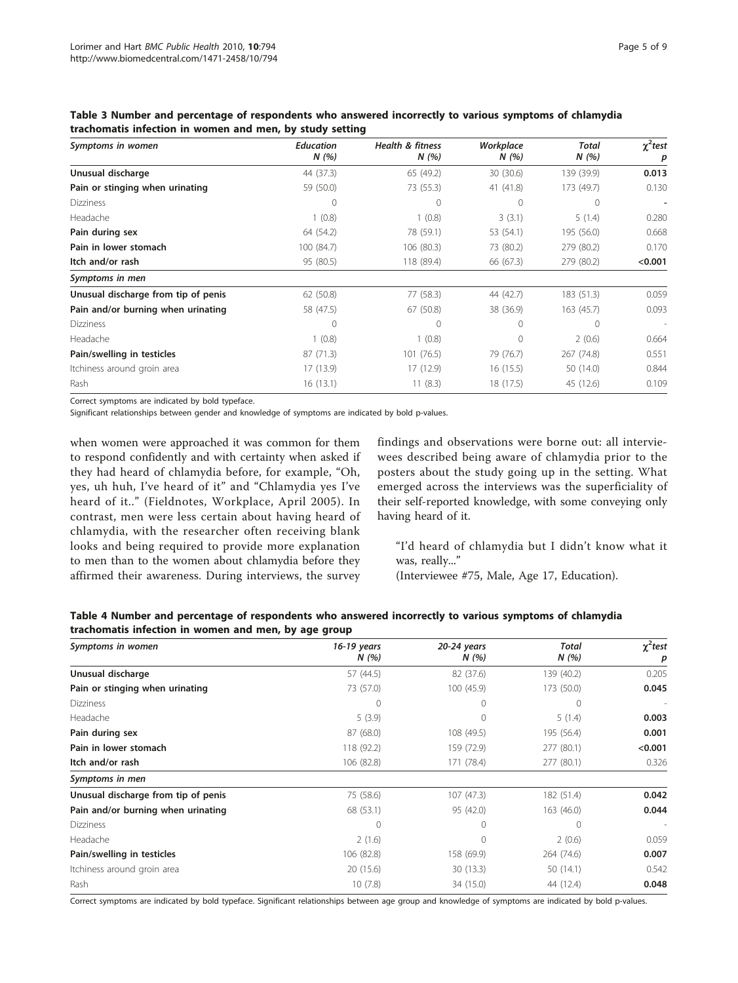| Symptoms in women                   | <b>Education</b><br>N(%) | Health & fitness<br>N(%) | Workplace<br>N(%) | <b>Total</b><br>N(%) | $\chi^2$ test<br>p |
|-------------------------------------|--------------------------|--------------------------|-------------------|----------------------|--------------------|
| Unusual discharge                   | 44 (37.3)                | 65 (49.2)                | 30 (30.6)         | 139 (39.9)           | 0.013              |
| Pain or stinging when urinating     | 59 (50.0)                | 73 (55.3)                | 41 (41.8)         | 173 (49.7)           | 0.130              |
| <b>Dizziness</b>                    | 0                        | 0                        | 0                 |                      |                    |
| Headache                            | 1(0.8)                   | 1(0.8)                   | 3(3.1)            | 5(1.4)               | 0.280              |
| Pain during sex                     | 64 (54.2)                | 78 (59.1)                | 53 (54.1)         | 195 (56.0)           | 0.668              |
| Pain in lower stomach               | 100 (84.7)               | 106 (80.3)               | 73 (80.2)         | 279 (80.2)           | 0.170              |
| Itch and/or rash                    | 95 (80.5)                | 118 (89.4)               | 66 (67.3)         | 279 (80.2)           | < 0.001            |
| Symptoms in men                     |                          |                          |                   |                      |                    |
| Unusual discharge from tip of penis | 62 (50.8)                | 77 (58.3)                | 44 (42.7)         | 183 (51.3)           | 0.059              |
| Pain and/or burning when urinating  | 58 (47.5)                | 67 (50.8)                | 38 (36.9)         | 163(45.7)            | 0.093              |
| <b>Dizziness</b>                    | 0                        | 0                        | $\Omega$          |                      |                    |
| Headache                            | 1(0.8)                   | 1(0.8)                   | $\Omega$          | 2(0.6)               | 0.664              |
| Pain/swelling in testicles          | 87 (71.3)                | 101(76.5)                | 79 (76.7)         | 267 (74.8)           | 0.551              |
| Itchiness around groin area         | 17 (13.9)                | 17 (12.9)                | 16(15.5)          | 50 (14.0)            | 0.844              |
| Rash                                | 16(13.1)                 | 11(8.3)                  | 18 (17.5)         | 45 (12.6)            | 0.109              |

<span id="page-4-0"></span>Table 3 Number and percentage of respondents who answered incorrectly to various symptoms of chlamydia trachomatis infection in women and men, by study setting

Correct symptoms are indicated by bold typeface.

Significant relationships between gender and knowledge of symptoms are indicated by bold p-values.

when women were approached it was common for them to respond confidently and with certainty when asked if they had heard of chlamydia before, for example, "Oh, yes, uh huh, I've heard of it" and "Chlamydia yes I've heard of it.." (Fieldnotes, Workplace, April 2005). In contrast, men were less certain about having heard of chlamydia, with the researcher often receiving blank looks and being required to provide more explanation to men than to the women about chlamydia before they affirmed their awareness. During interviews, the survey

findings and observations were borne out: all interviewees described being aware of chlamydia prior to the posters about the study going up in the setting. What emerged across the interviews was the superficiality of their self-reported knowledge, with some conveying only having heard of it.

"I'd heard of chlamydia but I didn't know what it was, really..."

(Interviewee #75, Male, Age 17, Education).

| trachomatis infection in women and men, by age group |                     |                     |                  |                    |  |  |  |  |
|------------------------------------------------------|---------------------|---------------------|------------------|--------------------|--|--|--|--|
| Symptoms in women                                    | 16-19 years<br>N(%) | 20-24 years<br>N(%) | Total<br>N(%)    | $\chi^2$ test<br>p |  |  |  |  |
| Unusual discharge                                    | 57 (44.5)           | 82 (37.6)           | 139 (40.2)       | 0.205              |  |  |  |  |
| Pain or stinging when urinating                      | 73 (57.0)           | 100(45.9)           | 173 (50.0)       | 0.045              |  |  |  |  |
| <b>Dizziness</b>                                     | 0                   |                     | $\left( \right)$ |                    |  |  |  |  |
| Headache                                             | 5(3.9)              | 0                   | 5(1.4)           | 0.003              |  |  |  |  |
| Pain during sex                                      | 87 (68.0)           | 108 (49.5)          | 195 (56.4)       | 0.001              |  |  |  |  |
| Pain in lower stomach                                | 118 (92.2)          | 159 (72.9)          | 277 (80.1)       | < 0.001            |  |  |  |  |
| Itch and/or rash                                     | 106 (82.8)          | 171 (78.4)          | 277 (80.1)       | 0.326              |  |  |  |  |
| Symptoms in men                                      |                     |                     |                  |                    |  |  |  |  |
| Unusual discharge from tip of penis                  | 75 (58.6)           | 107(47.3)           | 182 (51.4)       | 0.042              |  |  |  |  |
| Pain and/or burning when urinating                   | 68 (53.1)           | 95 (42.0)           | 163 (46.0)       | 0.044              |  |  |  |  |
| <b>Dizziness</b>                                     | 0                   | 0                   | 0                |                    |  |  |  |  |
| Headache                                             | 2(1.6)              | $\bigcap$           | 2(0.6)           | 0.059              |  |  |  |  |
| Pain/swelling in testicles                           | 106 (82.8)          | 158 (69.9)          | 264 (74.6)       | 0.007              |  |  |  |  |
| Itchiness around groin area                          | 20(15.6)            | 30 (13.3)           | 50 (14.1)        | 0.542              |  |  |  |  |
| Rash                                                 | 10(7.8)             | 34 (15.0)           | 44 (12.4)        | 0.048              |  |  |  |  |
|                                                      |                     |                     |                  |                    |  |  |  |  |

Table 4 Number and percentage of respondents who answered incorrectly to various symptoms of chlamydia trachomatis infection in women and men, by age group

Correct symptoms are indicated by bold typeface. Significant relationships between age group and knowledge of symptoms are indicated by bold p-values.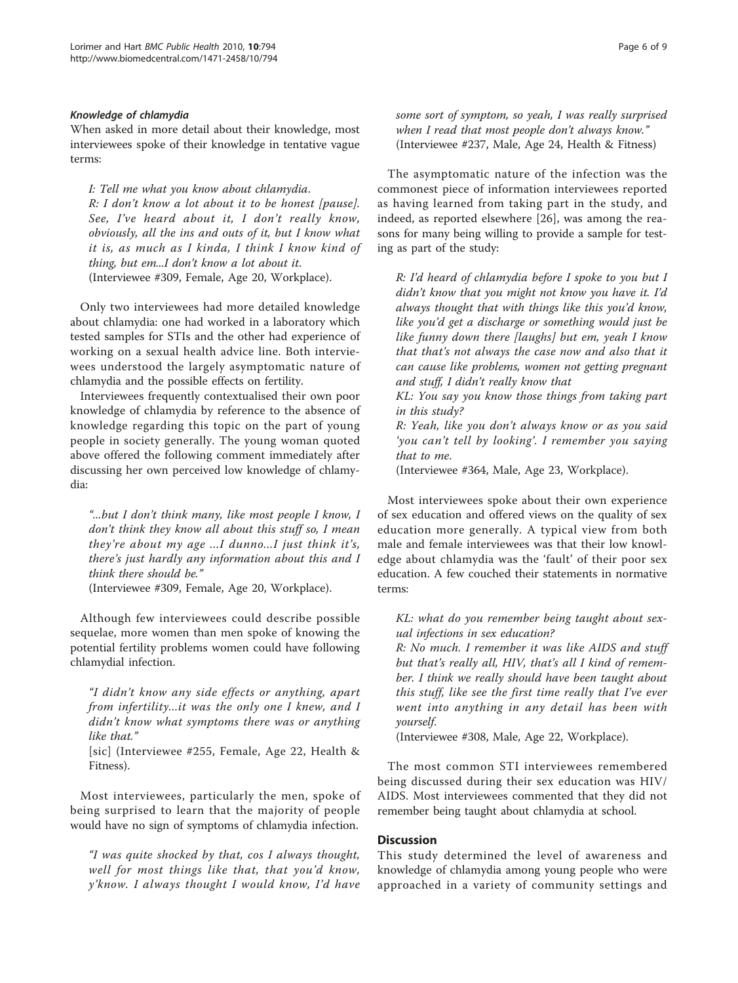### Knowledge of chlamydia

When asked in more detail about their knowledge, most interviewees spoke of their knowledge in tentative vague terms:

I: Tell me what you know about chlamydia. R: I don't know a lot about it to be honest [pause]. See, I've heard about it, I don't really know, obviously, all the ins and outs of it, but I know what it is, as much as I kinda, I think I know kind of thing, but em...I don't know a lot about it. (Interviewee #309, Female, Age 20, Workplace).

Only two interviewees had more detailed knowledge about chlamydia: one had worked in a laboratory which tested samples for STIs and the other had experience of working on a sexual health advice line. Both interviewees understood the largely asymptomatic nature of chlamydia and the possible effects on fertility.

Interviewees frequently contextualised their own poor knowledge of chlamydia by reference to the absence of knowledge regarding this topic on the part of young people in society generally. The young woman quoted above offered the following comment immediately after discussing her own perceived low knowledge of chlamydia:

"...but I don't think many, like most people I know, I don't think they know all about this stuff so, I mean they're about my age ...I dunno...I just think it's, there's just hardly any information about this and I think there should be."

(Interviewee #309, Female, Age 20, Workplace).

Although few interviewees could describe possible sequelae, more women than men spoke of knowing the potential fertility problems women could have following chlamydial infection.

"I didn't know any side effects or anything, apart from infertility...it was the only one I knew, and I didn't know what symptoms there was or anything like that."

[sic] (Interviewee #255, Female, Age 22, Health & Fitness).

Most interviewees, particularly the men, spoke of being surprised to learn that the majority of people would have no sign of symptoms of chlamydia infection.

"I was quite shocked by that, cos I always thought, well for most things like that, that you'd know, y'know. I always thought I would know, I'd have Page 6 of 9

some sort of symptom, so yeah, I was really surprised when I read that most people don't always know." (Interviewee #237, Male, Age 24, Health & Fitness)

The asymptomatic nature of the infection was the commonest piece of information interviewees reported as having learned from taking part in the study, and indeed, as reported elsewhere [\[26](#page-8-0)], was among the reasons for many being willing to provide a sample for testing as part of the study:

R: I'd heard of chlamydia before I spoke to you but I didn't know that you might not know you have it. I'd always thought that with things like this you'd know, like you'd get a discharge or something would just be like funny down there [laughs] but em, yeah I know that that's not always the case now and also that it can cause like problems, women not getting pregnant and stuff, I didn't really know that

KL: You say you know those things from taking part in this study?

R: Yeah, like you don't always know or as you said 'you can't tell by looking'. I remember you saying that to me.

(Interviewee #364, Male, Age 23, Workplace).

Most interviewees spoke about their own experience of sex education and offered views on the quality of sex education more generally. A typical view from both male and female interviewees was that their low knowledge about chlamydia was the 'fault' of their poor sex education. A few couched their statements in normative terms:

KL: what do you remember being taught about sexual infections in sex education?

R: No much. I remember it was like AIDS and stuff but that's really all, HIV, that's all I kind of remember. I think we really should have been taught about this stuff, like see the first time really that I've ever went into anything in any detail has been with yourself.

(Interviewee #308, Male, Age 22, Workplace).

The most common STI interviewees remembered being discussed during their sex education was HIV/ AIDS. Most interviewees commented that they did not remember being taught about chlamydia at school.

# **Discussion**

This study determined the level of awareness and knowledge of chlamydia among young people who were approached in a variety of community settings and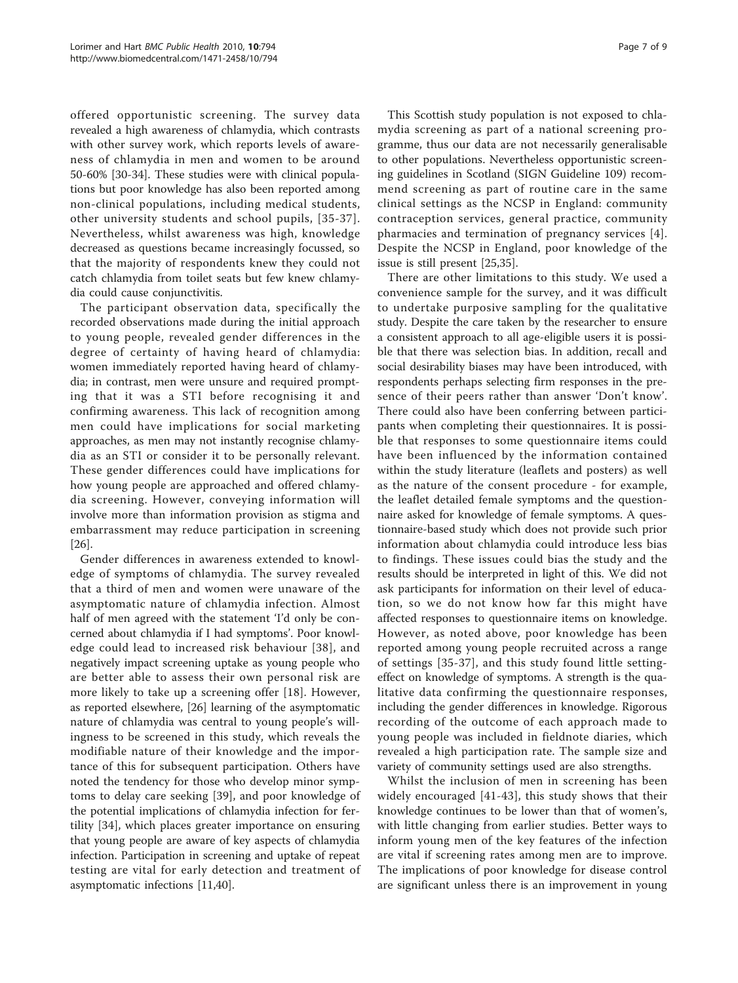offered opportunistic screening. The survey data revealed a high awareness of chlamydia, which contrasts with other survey work, which reports levels of awareness of chlamydia in men and women to be around 50-60% [\[30-34](#page-8-0)]. These studies were with clinical populations but poor knowledge has also been reported among non-clinical populations, including medical students, other university students and school pupils, [[35](#page-8-0)-[37\]](#page-8-0). Nevertheless, whilst awareness was high, knowledge decreased as questions became increasingly focussed, so that the majority of respondents knew they could not catch chlamydia from toilet seats but few knew chlamydia could cause conjunctivitis.

The participant observation data, specifically the recorded observations made during the initial approach to young people, revealed gender differences in the degree of certainty of having heard of chlamydia: women immediately reported having heard of chlamydia; in contrast, men were unsure and required prompting that it was a STI before recognising it and confirming awareness. This lack of recognition among men could have implications for social marketing approaches, as men may not instantly recognise chlamydia as an STI or consider it to be personally relevant. These gender differences could have implications for how young people are approached and offered chlamydia screening. However, conveying information will involve more than information provision as stigma and embarrassment may reduce participation in screening [[26\]](#page-8-0).

Gender differences in awareness extended to knowledge of symptoms of chlamydia. The survey revealed that a third of men and women were unaware of the asymptomatic nature of chlamydia infection. Almost half of men agreed with the statement 'I'd only be concerned about chlamydia if I had symptoms'. Poor knowledge could lead to increased risk behaviour [[38\]](#page-8-0), and negatively impact screening uptake as young people who are better able to assess their own personal risk are more likely to take up a screening offer [[18](#page-7-0)]. However, as reported elsewhere, [\[26\]](#page-8-0) learning of the asymptomatic nature of chlamydia was central to young people's willingness to be screened in this study, which reveals the modifiable nature of their knowledge and the importance of this for subsequent participation. Others have noted the tendency for those who develop minor symptoms to delay care seeking [[39\]](#page-8-0), and poor knowledge of the potential implications of chlamydia infection for fertility [\[34](#page-8-0)], which places greater importance on ensuring that young people are aware of key aspects of chlamydia infection. Participation in screening and uptake of repeat testing are vital for early detection and treatment of asymptomatic infections [\[11](#page-7-0)[,40](#page-8-0)].

This Scottish study population is not exposed to chlamydia screening as part of a national screening programme, thus our data are not necessarily generalisable to other populations. Nevertheless opportunistic screening guidelines in Scotland (SIGN Guideline 109) recommend screening as part of routine care in the same clinical settings as the NCSP in England: community contraception services, general practice, community pharmacies and termination of pregnancy services [[4](#page-7-0)]. Despite the NCSP in England, poor knowledge of the issue is still present [\[25,35](#page-8-0)].

There are other limitations to this study. We used a convenience sample for the survey, and it was difficult to undertake purposive sampling for the qualitative study. Despite the care taken by the researcher to ensure a consistent approach to all age-eligible users it is possible that there was selection bias. In addition, recall and social desirability biases may have been introduced, with respondents perhaps selecting firm responses in the presence of their peers rather than answer 'Don't know'. There could also have been conferring between participants when completing their questionnaires. It is possible that responses to some questionnaire items could have been influenced by the information contained within the study literature (leaflets and posters) as well as the nature of the consent procedure - for example, the leaflet detailed female symptoms and the questionnaire asked for knowledge of female symptoms. A questionnaire-based study which does not provide such prior information about chlamydia could introduce less bias to findings. These issues could bias the study and the results should be interpreted in light of this. We did not ask participants for information on their level of education, so we do not know how far this might have affected responses to questionnaire items on knowledge. However, as noted above, poor knowledge has been reported among young people recruited across a range of settings [\[35-37\]](#page-8-0), and this study found little settingeffect on knowledge of symptoms. A strength is the qualitative data confirming the questionnaire responses, including the gender differences in knowledge. Rigorous recording of the outcome of each approach made to young people was included in fieldnote diaries, which revealed a high participation rate. The sample size and variety of community settings used are also strengths.

Whilst the inclusion of men in screening has been widely encouraged [[41](#page-8-0)-[43\]](#page-8-0), this study shows that their knowledge continues to be lower than that of women's, with little changing from earlier studies. Better ways to inform young men of the key features of the infection are vital if screening rates among men are to improve. The implications of poor knowledge for disease control are significant unless there is an improvement in young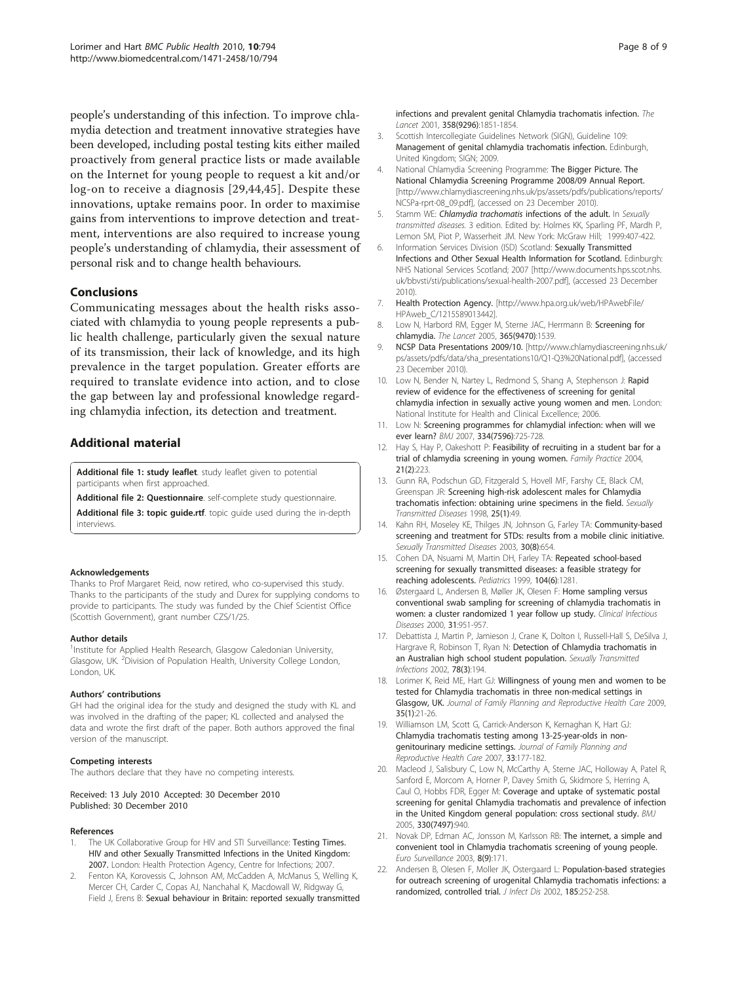<span id="page-7-0"></span>people's understanding of this infection. To improve chlamydia detection and treatment innovative strategies have been developed, including postal testing kits either mailed proactively from general practice lists or made available on the Internet for young people to request a kit and/or log-on to receive a diagnosis [[29,44,45\]](#page-8-0). Despite these innovations, uptake remains poor. In order to maximise gains from interventions to improve detection and treatment, interventions are also required to increase young people's understanding of chlamydia, their assessment of personal risk and to change health behaviours.

### Conclusions

Communicating messages about the health risks associated with chlamydia to young people represents a public health challenge, particularly given the sexual nature of its transmission, their lack of knowledge, and its high prevalence in the target population. Greater efforts are required to translate evidence into action, and to close the gap between lay and professional knowledge regarding chlamydia infection, its detection and treatment.

# Additional material

[Additional file 1: s](http://www.biomedcentral.com/content/supplementary/1471-2458-10-794-S1.PDF)tudy leaflet. study leaflet given to potential participants when first approached.

[Additional file 2: Q](http://www.biomedcentral.com/content/supplementary/1471-2458-10-794-S2.PDF)uestionnaire. self-complete study questionnaire.

[Additional file 3: t](http://www.biomedcentral.com/content/supplementary/1471-2458-10-794-S3.RTF)opic guide.rtf. topic guide used during the in-depth interviews.

#### Acknowledgements

Thanks to Prof Margaret Reid, now retired, who co-supervised this study. Thanks to the participants of the study and Durex for supplying condoms to provide to participants. The study was funded by the Chief Scientist Office (Scottish Government), grant number CZS/1/25.

#### Author details

<sup>1</sup>Institute for Applied Health Research, Glasgow Caledonian University, Glasgow, UK. <sup>2</sup>Division of Population Health, University College London, London, UK.

#### Authors' contributions

GH had the original idea for the study and designed the study with KL and was involved in the drafting of the paper; KL collected and analysed the data and wrote the first draft of the paper. Both authors approved the final version of the manuscript.

#### Competing interests

The authors declare that they have no competing interests.

#### Received: 13 July 2010 Accepted: 30 December 2010 Published: 30 December 2010

#### References

- 1. The UK Collaborative Group for HIV and STI Surveillance: Testing Times. HIV and other Sexually Transmitted Infections in the United Kingdom: 2007. London: Health Protection Agency, Centre for Infections; 2007.
- 2. Fenton KA, Korovessis C, Johnson AM, McCadden A, McManus S, Welling K, Mercer CH, Carder C, Copas AJ, Nanchahal K, Macdowall W, Ridgway G, Field J, Erens B: Sexual behaviour in Britain: reported sexually transmitted

infections and prevalent genital Chlamydia trachomatis infection. The Lancet 2001, 358(9296):1851-1854.

- 3. Scottish Intercollegiate Guidelines Network (SIGN), Guideline 109: Management of genital chlamydia trachomatis infection. Edinburgh, United Kingdom; SIGN; 2009.
- 4. National Chlamydia Screening Programme: The Bigger Picture. The National Chlamydia Screening Programme 2008/09 Annual Report. [[http://www.chlamydiascreening.nhs.uk/ps/assets/pdfs/publications/reports/](http://www.chlamydiascreening.nhs.uk/ps/assets/pdfs/publications/reports/NCSPa-rprt-08_09.pdf) [NCSPa-rprt-08\\_09.pdf](http://www.chlamydiascreening.nhs.uk/ps/assets/pdfs/publications/reports/NCSPa-rprt-08_09.pdf)], (accessed on 23 December 2010)
- 5. Stamm WF: Chlamydia trachomatis infections of the adult. In Sexually transmitted diseases. 3 edition. Edited by: Holmes KK, Sparling PF, Mardh P, Lemon SM, Piot P, Wasserheit JM. New York: McGraw Hill; 1999:407-422.
- 6. Information Services Division (ISD) Scotland: Sexually Transmitted Infections and Other Sexual Health Information for Scotland. Edinburgh: NHS National Services Scotland; 2007 [[http://www.documents.hps.scot.nhs.](http://www.documents.hps.scot.nhs.uk/bbvsti/sti/publications/sexual-health-2007.pdf) [uk/bbvsti/sti/publications/sexual-health-2007.pdf](http://www.documents.hps.scot.nhs.uk/bbvsti/sti/publications/sexual-health-2007.pdf)], (accessed 23 December 2010).
- 7. Health Protection Agency. [\[http://www.hpa.org.uk/web/HPAwebFile/](http://www.hpa.org.uk/web/HPAwebFile/HPAweb_C/1215589013442) [HPAweb\\_C/1215589013442](http://www.hpa.org.uk/web/HPAwebFile/HPAweb_C/1215589013442)].
- 8. Low N, Harbord RM, Egger M, Sterne JAC, Herrmann B: Screening for chlamydia. The Lancet 2005, 365(9470):1539.
- 9. NCSP Data Presentations 2009/10. [\[http://www.chlamydiascreening.nhs.uk/](http://www.chlamydiascreening.nhs.uk/ps/assets/pdfs/data/sha_presentations10/Q1-Q3%20National.pdf) [ps/assets/pdfs/data/sha\\_presentations10/Q1-Q3%20National.pdf\]](http://www.chlamydiascreening.nhs.uk/ps/assets/pdfs/data/sha_presentations10/Q1-Q3%20National.pdf), (accessed 23 December 2010).
- 10. Low N, Bender N, Nartey L, Redmond S, Shang A, Stephenson J: Rapid review of evidence for the effectiveness of screening for genital chlamydia infection in sexually active young women and men. London: National Institute for Health and Clinical Excellence; 2006.
- 11. Low N: [Screening programmes for chlamydial infection: when will we](http://www.ncbi.nlm.nih.gov/pubmed/17413173?dopt=Abstract) [ever learn?](http://www.ncbi.nlm.nih.gov/pubmed/17413173?dopt=Abstract) BMJ 2007, 334(7596):725-728.
- 12. Hay S, Hay P, Oakeshott P: [Feasibility of recruiting in a student bar for a](http://www.ncbi.nlm.nih.gov/pubmed/15020399?dopt=Abstract) [trial of chlamydia screening in young women.](http://www.ncbi.nlm.nih.gov/pubmed/15020399?dopt=Abstract) Family Practice 2004, 21(2):223.
- 13. Gunn RA, Podschun GD, Fitzgerald S, Hovell MF, Farshy CE, Black CM, Greenspan JR: [Screening high-risk adolescent males for Chlamydia](http://www.ncbi.nlm.nih.gov/pubmed/9437785?dopt=Abstract) [trachomatis infection: obtaining urine specimens in the field.](http://www.ncbi.nlm.nih.gov/pubmed/9437785?dopt=Abstract) Sexually Transmitted Diseases 1998, 25(1):49.
- 14. Kahn RH, Moseley KE, Thilges JN, Johnson G, Farley TA: [Community-based](http://www.ncbi.nlm.nih.gov/pubmed/12897689?dopt=Abstract) [screening and treatment for STDs: results from a mobile clinic initiative.](http://www.ncbi.nlm.nih.gov/pubmed/12897689?dopt=Abstract) Sexually Transmitted Diseases 2003, 30(8):654.
- 15. Cohen DA, Nsuami M, Martin DH, Farley TA: [Repeated school-based](http://www.ncbi.nlm.nih.gov/pubmed/10585978?dopt=Abstract) [screening for sexually transmitted diseases: a feasible strategy for](http://www.ncbi.nlm.nih.gov/pubmed/10585978?dopt=Abstract) [reaching adolescents.](http://www.ncbi.nlm.nih.gov/pubmed/10585978?dopt=Abstract) Pediatrics 1999, 104(6):1281.
- 16. Østergaard L, Andersen B, Møller JK, Olesen F: [Home sampling versus](http://www.ncbi.nlm.nih.gov/pubmed/11049776?dopt=Abstract) [conventional swab sampling for screening of chlamydia trachomatis in](http://www.ncbi.nlm.nih.gov/pubmed/11049776?dopt=Abstract) [women: a cluster randomized 1 year follow up study.](http://www.ncbi.nlm.nih.gov/pubmed/11049776?dopt=Abstract) Clinical Infectious Diseases 2000, 31:951-957.
- 17. Debattista J, Martin P, Jamieson J, Crane K, Dolton I, Russell-Hall S, DeSilva J, Hargrave R, Robinson T, Ryan N: [Detection of Chlamydia trachomatis in](http://www.ncbi.nlm.nih.gov/pubmed/12238652?dopt=Abstract) [an Australian high school student population.](http://www.ncbi.nlm.nih.gov/pubmed/12238652?dopt=Abstract) Sexually Transmitted Infections 2002, 78(3):194.
- 18. Lorimer K, Reid ME, Hart GJ: [Willingness of young men and women to be](http://www.ncbi.nlm.nih.gov/pubmed/19126312?dopt=Abstract) [tested for Chlamydia trachomatis in three non-medical settings in](http://www.ncbi.nlm.nih.gov/pubmed/19126312?dopt=Abstract) [Glasgow, UK.](http://www.ncbi.nlm.nih.gov/pubmed/19126312?dopt=Abstract) Journal of Family Planning and Reproductive Health Care 2009, 35(1):21-26.
- 19. Williamson LM, Scott G, Carrick-Anderson K, Kernaghan K, Hart GJ: [Chlamydia trachomatis testing among 13-25-year-olds in non](http://www.ncbi.nlm.nih.gov/pubmed/17609076?dopt=Abstract)[genitourinary medicine settings.](http://www.ncbi.nlm.nih.gov/pubmed/17609076?dopt=Abstract) Journal of Family Planning and Reproductive Health Care 2007, 33:177-182.
- 20. Macleod J, Salisbury C, Low N, McCarthy A, Sterne JAC, Holloway A, Patel R, Sanford E, Morcom A, Horner P, Davey Smith G, Skidmore S, Herring A, Caul O, Hobbs FDR, Egger M: [Coverage and uptake of systematic postal](http://www.ncbi.nlm.nih.gov/pubmed/15809231?dopt=Abstract) [screening for genital Chlamydia trachomatis and prevalence of infection](http://www.ncbi.nlm.nih.gov/pubmed/15809231?dopt=Abstract) [in the United Kingdom general population: cross sectional study.](http://www.ncbi.nlm.nih.gov/pubmed/15809231?dopt=Abstract) BMJ 2005, 330(7497):940.
- 21. Novak DP, Edman AC, Jonsson M, Karlsson RB: [The internet, a simple and](http://www.ncbi.nlm.nih.gov/pubmed/14512638?dopt=Abstract) [convenient tool in Chlamydia trachomatis screening of young people.](http://www.ncbi.nlm.nih.gov/pubmed/14512638?dopt=Abstract) Euro Surveillance 2003, 8(9):171.
- 22. Andersen B, Olesen F, Moller JK, Ostergaard L: [Population-based strategies](http://www.ncbi.nlm.nih.gov/pubmed/11807700?dopt=Abstract) [for outreach screening of urogenital Chlamydia trachomatis infections: a](http://www.ncbi.nlm.nih.gov/pubmed/11807700?dopt=Abstract) [randomized, controlled trial.](http://www.ncbi.nlm.nih.gov/pubmed/11807700?dopt=Abstract) J Infect Dis 2002, 185:252-258.